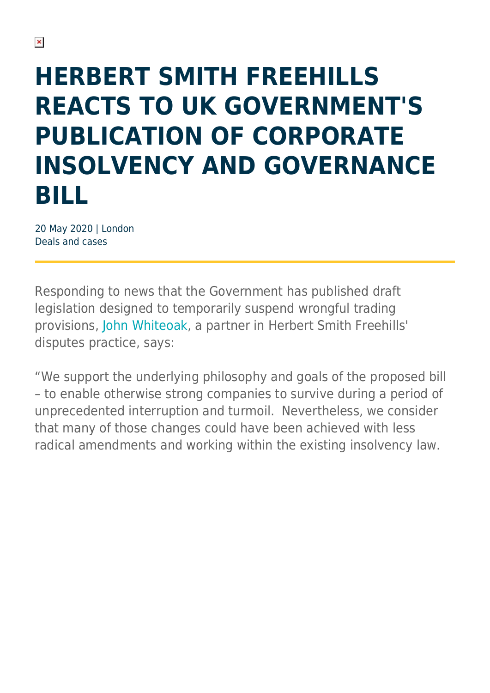## **HERBERT SMITH FREEHILLS REACTS TO UK GOVERNMENT'S PUBLICATION OF CORPORATE INSOLVENCY AND GOVERNANCE BILL**

20 May 2020 | London Deals and cases

Responding to news that the Government has published draft legislation designed to temporarily suspend wrongful trading provisions, [John Whiteoak](https://www.herbertsmithfreehills.com/our-people/john-whiteoak), a partner in Herbert Smith Freehills' disputes practice, says:

"We support the underlying philosophy and goals of the proposed bill – to enable otherwise strong companies to survive during a period of unprecedented interruption and turmoil. Nevertheless, we consider that many of those changes could have been achieved with less radical amendments and working within the existing insolvency law.